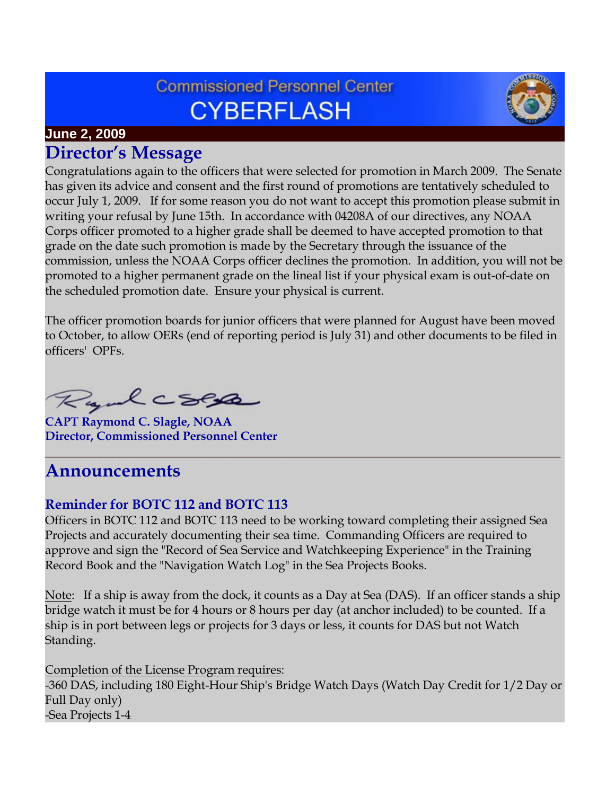# **Commissioned Personnel Center CYBERFLASH**



### **June 2, 2009**

## **Director's Message**

Congratulations again to the officers that were selected for promotion in March 2009. The Senate has given its advice and consent and the first round of promotions are tentatively scheduled to occur July 1, 2009. If for some reason you do not want to accept this promotion please submit in writing your refusal by June 15th. In accordance with 04208A of our directives, any NOAA Corps officer promoted to a higher grade shall be deemed to have accepted promotion to that grade on the date such promotion is made by the Secretary through the issuance of the commission, unless the NOAA Corps officer declines the promotion. In addition, you will not be promoted to a higher permanent grade on the lineal list if your physical exam is out-of-date on the scheduled promotion date. Ensure your physical is current.

The officer promotion boards for junior officers that were planned for August have been moved to October, to allow OERs (end of reporting period is July 31) and other documents to be filed in officers' OPFs.

Rydcsex

**CAPT Raymond C. Slagle, NOAA Director, Commissioned Personnel Center**

# **Announcements**

### **Reminder for BOTC 112 and BOTC 113**

Officers in BOTC 112 and BOTC 113 need to be working toward completing their assigned Sea Projects and accurately documenting their sea time. Commanding Officers are required to approve and sign the "Record of Sea Service and Watchkeeping Experience" in the Training Record Book and the "Navigation Watch Log" in the Sea Projects Books.

**\_\_\_\_\_\_\_\_\_\_\_\_\_\_\_\_\_\_\_\_\_\_\_\_\_\_\_\_\_\_\_\_\_\_\_\_\_\_\_\_\_\_\_\_\_\_\_\_\_\_\_\_\_\_\_\_\_\_\_\_\_\_\_\_\_\_\_\_\_\_\_\_\_\_\_\_**

Note: If a ship is away from the dock, it counts as a Day at Sea (DAS). If an officer stands a ship bridge watch it must be for 4 hours or 8 hours per day (at anchor included) to be counted. If a ship is in port between legs or projects for 3 days or less, it counts for DAS but not Watch Standing.

#### Completion of the License Program requires:

-360 DAS, including 180 Eight-Hour Ship's Bridge Watch Days (Watch Day Credit for 1/2 Day or Full Day only) -Sea Projects 1-4